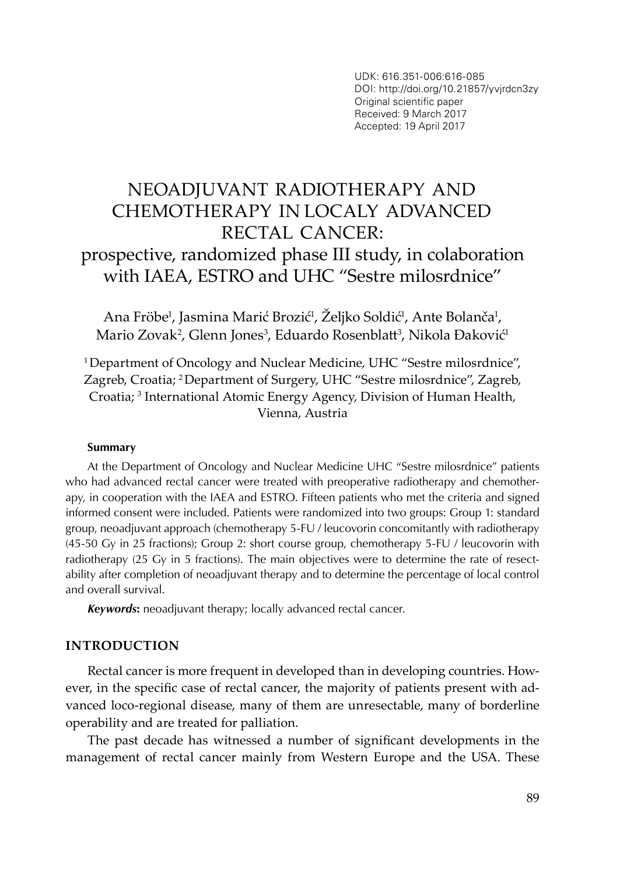UDK: 616.351-006:616-085 DOI: http://doi.org/10.21857/yvjrdcn3zy Original scientific paper Received: 9 March 2017 Accepted: 19 April 2017

# NEOADJUVANT RADIOTHERAPY AND CHEMOTHERAPY IN LOCALY ADVANCED RECTAL CANCER: prospective, randomized phase III study, in colaboration with IAEA, ESTRO and UHC "Sestre milosrdnice"

Ana Fröbe<sup>1</sup>, Jasmina Marić Brozić<sup>1</sup>, Zeljko Soldić<sup>1</sup>, Ante Bolanča<sup>1</sup>, Mario Zovak², Glenn Jones<sup>3</sup>, Eduardo Rosenblatt<sup>3</sup>, Nikola Đaković<sup>1</sup>

1 Department of Oncology and Nuclear Medicine, UHC "Sestre milosrdnice", Zagreb, Croatia; 2 Department of Surgery, UHC "Sestre milosrdnice", Zagreb, Croatia; 3 International Atomic Energy Agency, Division of Human Health, Vienna, Austria

#### **Summary**

At the Department of Oncology and Nuclear Medicine UHC "Sestre milosrdnice" patients who had advanced rectal cancer were treated with preoperative radiotherapy and chemotherapy, in cooperation with the IAEA and ESTRO. Fifteen patients who met the criteria and signed informed consent were included. Patients were randomized into two groups: Group 1: standard group, neoadjuvant approach (chemotherapy 5-FU / leucovorin concomitantly with radiotherapy (45-50 Gy in 25 fractions); Group 2: short course group, chemotherapy 5-FU / leucovorin with radiotherapy (25 Gy in 5 fractions). The main objectives were to determine the rate of resectability after completion of neoadjuvant therapy and to determine the percentage of local control and overall survival.

*Keywords***:** neoadjuvant therapy; locally advanced rectal cancer.

#### **INTRODUCTION**

Rectal cancer is more frequent in developed than in developing countries. However, in the specific case of rectal cancer, the majority of patients present with advanced loco-regional disease, many of them are unresectable, many of borderline operability and are treated for palliation.

The past decade has witnessed a number of significant developments in the management of rectal cancer mainly from Western Europe and the USA. These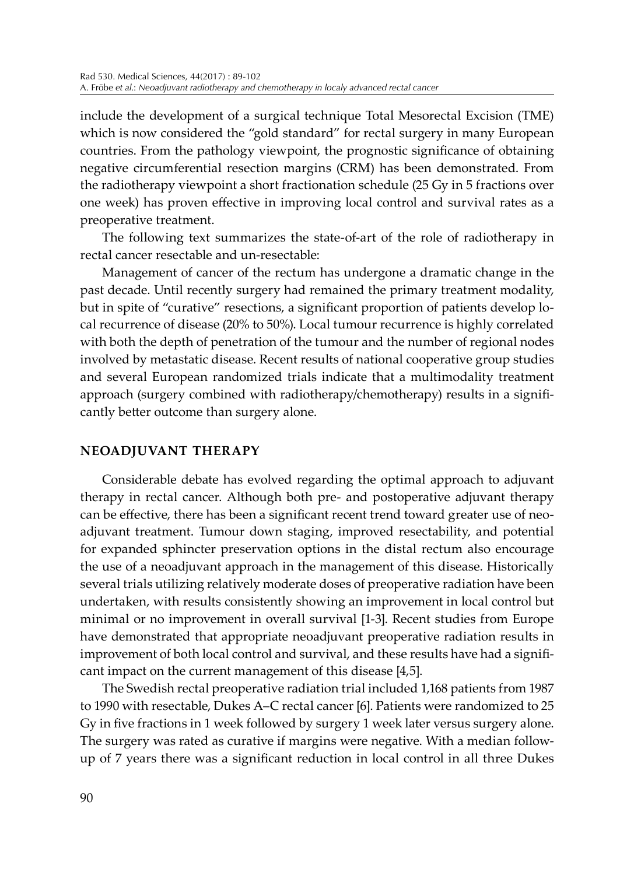include the development of a surgical technique Total Mesorectal Excision (TME) which is now considered the "gold standard" for rectal surgery in many European countries. From the pathology viewpoint, the prognostic significance of obtaining negative circumferential resection margins (CRM) has been demonstrated. From the radiotherapy viewpoint a short fractionation schedule (25 Gy in 5 fractions over one week) has proven effective in improving local control and survival rates as a preoperative treatment.

The following text summarizes the state-of-art of the role of radiotherapy in rectal cancer resectable and un-resectable:

Management of cancer of the rectum has undergone a dramatic change in the past decade. Until recently surgery had remained the primary treatment modality, but in spite of "curative" resections, a significant proportion of patients develop local recurrence of disease (20% to 50%). Local tumour recurrence is highly correlated with both the depth of penetration of the tumour and the number of regional nodes involved by metastatic disease. Recent results of national cooperative group studies and several European randomized trials indicate that a multimodality treatment approach (surgery combined with radiotherapy/chemotherapy) results in a significantly better outcome than surgery alone.

## **NEOADJUVANT THERAPY**

Considerable debate has evolved regarding the optimal approach to adjuvant therapy in rectal cancer. Although both pre- and postoperative adjuvant therapy can be effective, there has been a significant recent trend toward greater use of neoadjuvant treatment. Tumour down staging, improved resectability, and potential for expanded sphincter preservation options in the distal rectum also encourage the use of a neoadjuvant approach in the management of this disease. Historically several trials utilizing relatively moderate doses of preoperative radiation have been undertaken, with results consistently showing an improvement in local control but minimal or no improvement in overall survival [1-3]. Recent studies from Europe have demonstrated that appropriate neoadjuvant preoperative radiation results in improvement of both local control and survival, and these results have had a significant impact on the current management of this disease [4,5].

The Swedish rectal preoperative radiation trial included 1,168 patients from 1987 to 1990 with resectable, Dukes A–C rectal cancer [6]. Patients were randomized to 25 Gy in five fractions in 1 week followed by surgery 1 week later versus surgery alone. The surgery was rated as curative if margins were negative. With a median followup of 7 years there was a significant reduction in local control in all three Dukes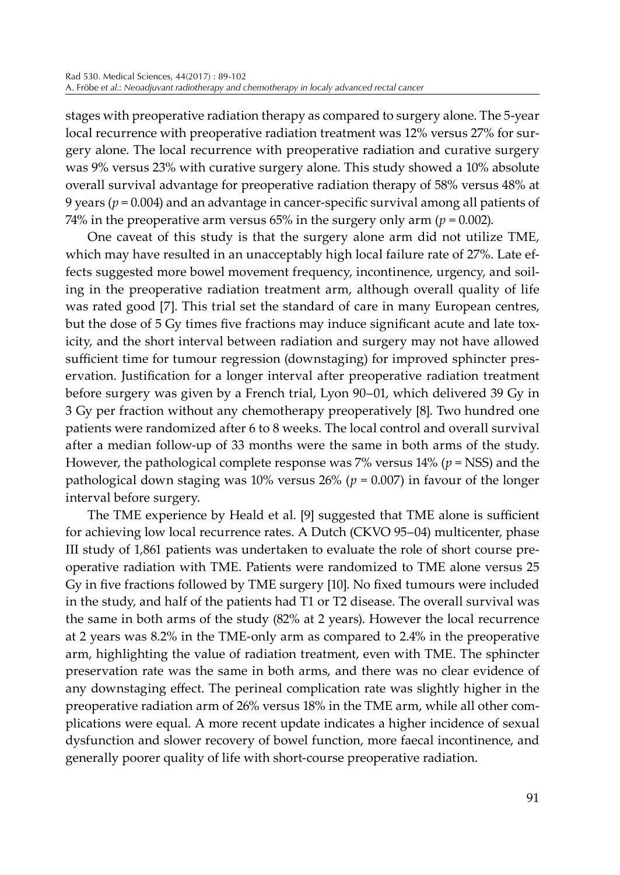stages with preoperative radiation therapy as compared to surgery alone. The 5-year local recurrence with preoperative radiation treatment was 12% versus 27% for surgery alone. The local recurrence with preoperative radiation and curative surgery was 9% versus 23% with curative surgery alone. This study showed a 10% absolute overall survival advantage for preoperative radiation therapy of 58% versus 48% at 9 years ( $p = 0.004$ ) and an advantage in cancer-specific survival among all patients of 74% in the preoperative arm versus  $65\%$  in the surgery only arm ( $p = 0.002$ ).

One caveat of this study is that the surgery alone arm did not utilize TME, which may have resulted in an unacceptably high local failure rate of 27%. Late effects suggested more bowel movement frequency, incontinence, urgency, and soiling in the preoperative radiation treatment arm, although overall quality of life was rated good [7]. This trial set the standard of care in many European centres, but the dose of 5 Gy times five fractions may induce significant acute and late toxicity, and the short interval between radiation and surgery may not have allowed sufficient time for tumour regression (downstaging) for improved sphincter preservation. Justification for a longer interval after preoperative radiation treatment before surgery was given by a French trial, Lyon 90–01, which delivered 39 Gy in 3 Gy per fraction without any chemotherapy preoperatively [8]. Two hundred one patients were randomized after 6 to 8 weeks. The local control and overall survival after a median follow-up of 33 months were the same in both arms of the study. However, the pathological complete response was 7% versus 14% (*p* = NSS) and the pathological down staging was 10% versus  $26\%$  ( $p = 0.007$ ) in favour of the longer interval before surgery.

The TME experience by Heald et al. [9] suggested that TME alone is sufficient for achieving low local recurrence rates. A Dutch (CKVO 95–04) multicenter, phase III study of 1,861 patients was undertaken to evaluate the role of short course preoperative radiation with TME. Patients were randomized to TME alone versus 25 Gy in five fractions followed by TME surgery [10]. No fixed tumours were included in the study, and half of the patients had T1 or T2 disease. The overall survival was the same in both arms of the study (82% at 2 years). However the local recurrence at 2 years was 8.2% in the TME-only arm as compared to 2.4% in the preoperative arm, highlighting the value of radiation treatment, even with TME. The sphincter preservation rate was the same in both arms, and there was no clear evidence of any downstaging effect. The perineal complication rate was slightly higher in the preoperative radiation arm of 26% versus 18% in the TME arm, while all other complications were equal. A more recent update indicates a higher incidence of sexual dysfunction and slower recovery of bowel function, more faecal incontinence, and generally poorer quality of life with short-course preoperative radiation.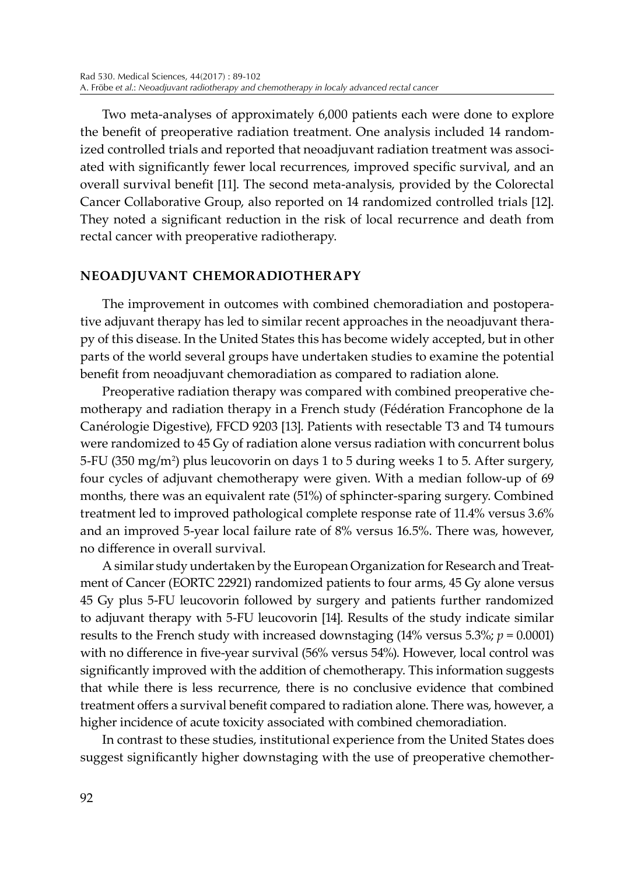Two meta-analyses of approximately 6,000 patients each were done to explore the benefit of preoperative radiation treatment. One analysis included 14 randomized controlled trials and reported that neoadjuvant radiation treatment was associated with significantly fewer local recurrences, improved specific survival, and an overall survival benefit [11]. The second meta-analysis, provided by the Colorectal Cancer Collaborative Group, also reported on 14 randomized controlled trials [12]. They noted a significant reduction in the risk of local recurrence and death from rectal cancer with preoperative radiotherapy.

## **NEOADJUVANT CHEMORADIOTHERAPY**

The improvement in outcomes with combined chemoradiation and postoperative adjuvant therapy has led to similar recent approaches in the neoadjuvant therapy of this disease. In the United States this has become widely accepted, but in other parts of the world several groups have undertaken studies to examine the potential benefit from neoadjuvant chemoradiation as compared to radiation alone.

Preoperative radiation therapy was compared with combined preoperative chemotherapy and radiation therapy in a French study (Fédération Francophone de la Canérologie Digestive), FFCD 9203 [13]. Patients with resectable T3 and T4 tumours were randomized to 45 Gy of radiation alone versus radiation with concurrent bolus 5-FU (350 mg/m2 ) plus leucovorin on days 1 to 5 during weeks 1 to 5. After surgery, four cycles of adjuvant chemotherapy were given. With a median follow-up of 69 months, there was an equivalent rate (51%) of sphincter-sparing surgery. Combined treatment led to improved pathological complete response rate of 11.4% versus 3.6% and an improved 5-year local failure rate of 8% versus 16.5%. There was, however, no difference in overall survival.

A similar study undertaken by the European Organization for Research and Treatment of Cancer (EORTC 22921) randomized patients to four arms, 45 Gy alone versus 45 Gy plus 5-FU leucovorin followed by surgery and patients further randomized to adjuvant therapy with 5-FU leucovorin [14]. Results of the study indicate similar results to the French study with increased downstaging  $(14\% \text{ versus } 5.3\%; p = 0.0001)$ with no difference in five-year survival (56% versus 54%). However, local control was significantly improved with the addition of chemotherapy. This information suggests that while there is less recurrence, there is no conclusive evidence that combined treatment offers a survival benefit compared to radiation alone. There was, however, a higher incidence of acute toxicity associated with combined chemoradiation.

In contrast to these studies, institutional experience from the United States does suggest significantly higher downstaging with the use of preoperative chemother-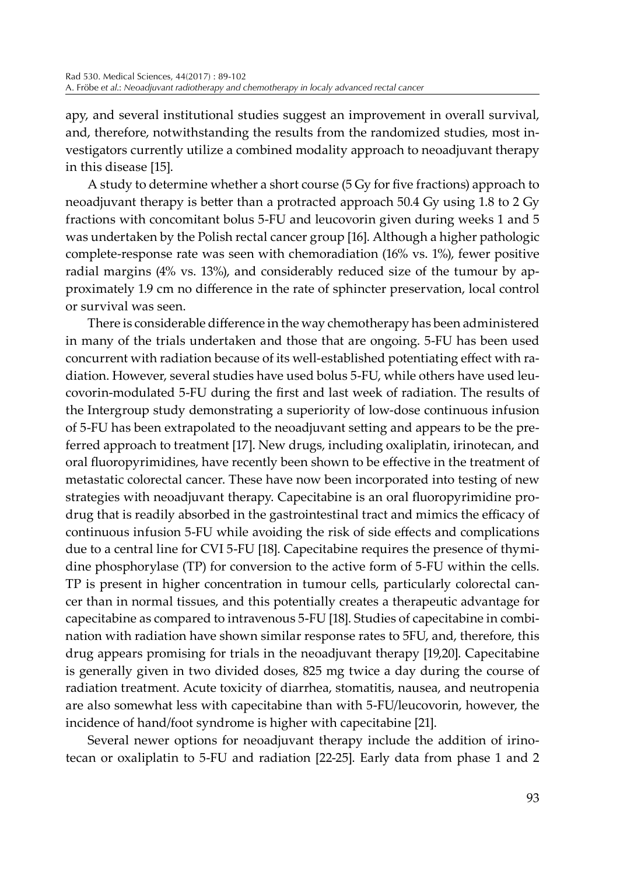apy, and several institutional studies suggest an improvement in overall survival, and, therefore, notwithstanding the results from the randomized studies, most investigators currently utilize a combined modality approach to neoadjuvant therapy in this disease [15].

A study to determine whether a short course (5 Gy for five fractions) approach to neoadjuvant therapy is better than a protracted approach 50.4 Gy using 1.8 to 2 Gy fractions with concomitant bolus 5-FU and leucovorin given during weeks 1 and 5 was undertaken by the Polish rectal cancer group [16]. Although a higher pathologic complete-response rate was seen with chemoradiation (16% vs. 1%), fewer positive radial margins (4% vs. 13%), and considerably reduced size of the tumour by approximately 1.9 cm no difference in the rate of sphincter preservation, local control or survival was seen.

There is considerable difference in the way chemotherapy has been administered in many of the trials undertaken and those that are ongoing. 5-FU has been used concurrent with radiation because of its well-established potentiating effect with radiation. However, several studies have used bolus 5-FU, while others have used leucovorin-modulated 5-FU during the first and last week of radiation. The results of the Intergroup study demonstrating a superiority of low-dose continuous infusion of 5-FU has been extrapolated to the neoadjuvant setting and appears to be the preferred approach to treatment [17]. New drugs, including oxaliplatin, irinotecan, and oral fluoropyrimidines, have recently been shown to be effective in the treatment of metastatic colorectal cancer. These have now been incorporated into testing of new strategies with neoadjuvant therapy. Capecitabine is an oral fluoropyrimidine prodrug that is readily absorbed in the gastrointestinal tract and mimics the efficacy of continuous infusion 5-FU while avoiding the risk of side effects and complications due to a central line for CVI 5-FU [18]. Capecitabine requires the presence of thymidine phosphorylase (TP) for conversion to the active form of 5-FU within the cells. TP is present in higher concentration in tumour cells, particularly colorectal cancer than in normal tissues, and this potentially creates a therapeutic advantage for capecitabine as compared to intravenous 5-FU [18]. Studies of capecitabine in combination with radiation have shown similar response rates to 5FU, and, therefore, this drug appears promising for trials in the neoadjuvant therapy [19,20]. Capecitabine is generally given in two divided doses, 825 mg twice a day during the course of radiation treatment. Acute toxicity of diarrhea, stomatitis, nausea, and neutropenia are also somewhat less with capecitabine than with 5-FU/leucovorin, however, the incidence of hand/foot syndrome is higher with capecitabine [21].

Several newer options for neoadjuvant therapy include the addition of irinotecan or oxaliplatin to 5-FU and radiation [22-25]. Early data from phase 1 and 2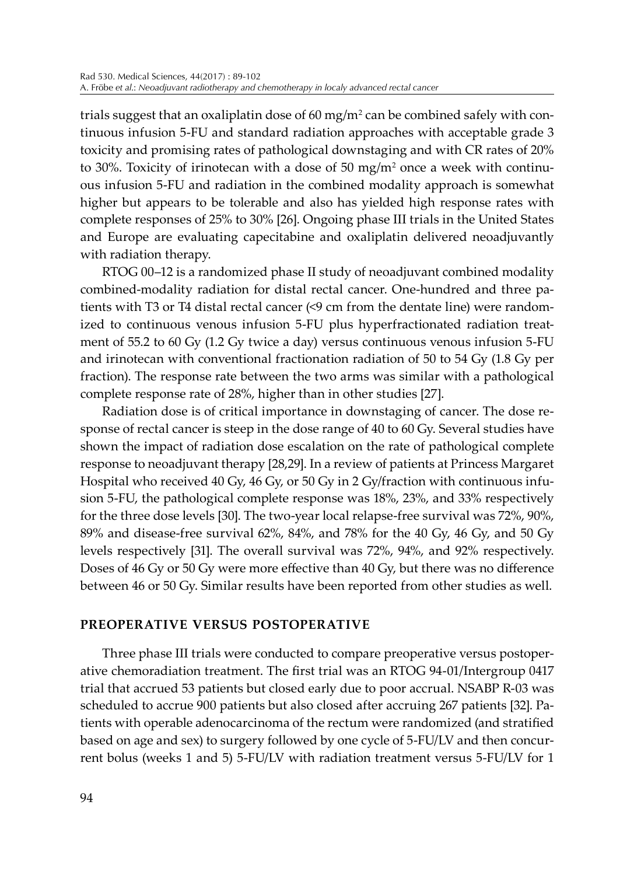trials suggest that an oxaliplatin dose of 60 mg/m² can be combined safely with continuous infusion 5-FU and standard radiation approaches with acceptable grade 3 toxicity and promising rates of pathological downstaging and with CR rates of 20% to 30%. Toxicity of irinotecan with a dose of 50 mg/m<sup>2</sup> once a week with continuous infusion 5-FU and radiation in the combined modality approach is somewhat higher but appears to be tolerable and also has yielded high response rates with complete responses of 25% to 30% [26]. Ongoing phase III trials in the United States and Europe are evaluating capecitabine and oxaliplatin delivered neoadjuvantly with radiation therapy.

RTOG 00–12 is a randomized phase II study of neoadjuvant combined modality combined-modality radiation for distal rectal cancer. One-hundred and three patients with T3 or T4 distal rectal cancer (<9 cm from the dentate line) were randomized to continuous venous infusion 5-FU plus hyperfractionated radiation treatment of 55.2 to 60 Gy (1.2 Gy twice a day) versus continuous venous infusion 5-FU and irinotecan with conventional fractionation radiation of 50 to 54 Gy (1.8 Gy per fraction). The response rate between the two arms was similar with a pathological complete response rate of 28%, higher than in other studies [27].

Radiation dose is of critical importance in downstaging of cancer. The dose response of rectal cancer is steep in the dose range of 40 to 60 Gy. Several studies have shown the impact of radiation dose escalation on the rate of pathological complete response to neoadjuvant therapy [28,29]. In a review of patients at Princess Margaret Hospital who received 40 Gy, 46 Gy, or 50 Gy in 2 Gy/fraction with continuous infusion 5-FU, the pathological complete response was 18%, 23%, and 33% respectively for the three dose levels [30]. The two-year local relapse-free survival was 72%, 90%, 89% and disease-free survival 62%, 84%, and 78% for the 40 Gy, 46 Gy, and 50 Gy levels respectively [31]. The overall survival was 72%, 94%, and 92% respectively. Doses of 46 Gy or 50 Gy were more effective than 40 Gy, but there was no difference between 46 or 50 Gy. Similar results have been reported from other studies as well.

#### **PREOPERATIVE VERSUS POSTOPERATIVE**

Three phase III trials were conducted to compare preoperative versus postoperative chemoradiation treatment. The first trial was an RTOG 94-01/Intergroup 0417 trial that accrued 53 patients but closed early due to poor accrual. NSABP R-03 was scheduled to accrue 900 patients but also closed after accruing 267 patients [32]. Patients with operable adenocarcinoma of the rectum were randomized (and stratified based on age and sex) to surgery followed by one cycle of 5-FU/LV and then concurrent bolus (weeks 1 and 5) 5-FU/LV with radiation treatment versus 5-FU/LV for 1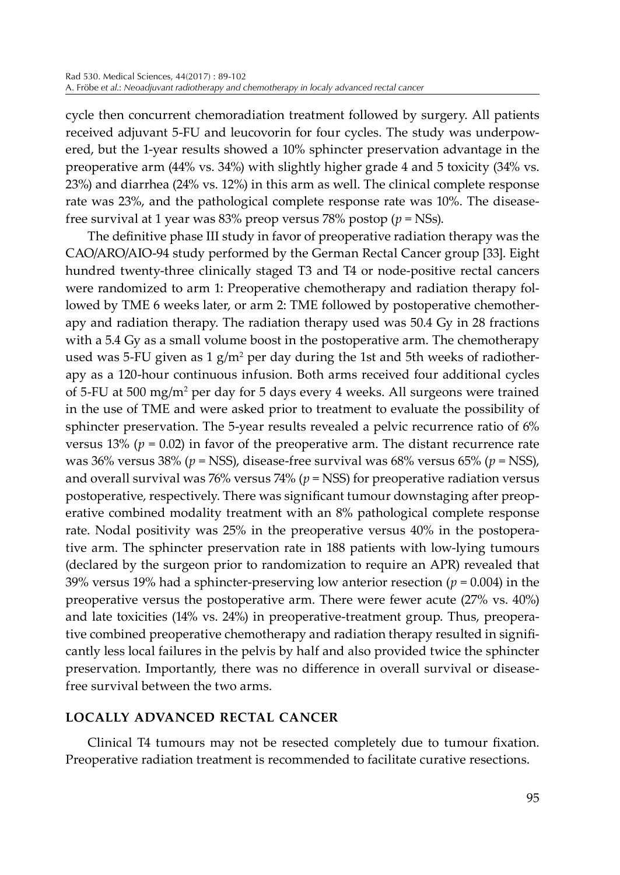cycle then concurrent chemoradiation treatment followed by surgery. All patients received adjuvant 5-FU and leucovorin for four cycles. The study was underpowered, but the 1-year results showed a 10% sphincter preservation advantage in the preoperative arm (44% vs. 34%) with slightly higher grade 4 and 5 toxicity (34% vs. 23%) and diarrhea (24% vs. 12%) in this arm as well. The clinical complete response rate was 23%, and the pathological complete response rate was 10%. The diseasefree survival at 1 year was 83% preop versus 78% postop (*p* = NSs).

The definitive phase III study in favor of preoperative radiation therapy was the CAO/ARO/AIO-94 study performed by the German Rectal Cancer group [33]. Eight hundred twenty-three clinically staged T3 and T4 or node-positive rectal cancers were randomized to arm 1: Preoperative chemotherapy and radiation therapy followed by TME 6 weeks later, or arm 2: TME followed by postoperative chemotherapy and radiation therapy. The radiation therapy used was 50.4 Gy in 28 fractions with a 5.4 Gy as a small volume boost in the postoperative arm. The chemotherapy used was 5-FU given as 1 g/m<sup>2</sup> per day during the 1st and 5th weeks of radiotherapy as a 120-hour continuous infusion. Both arms received four additional cycles of 5-FU at 500 mg/m<sup>2</sup> per day for 5 days every 4 weeks. All surgeons were trained in the use of TME and were asked prior to treatment to evaluate the possibility of sphincter preservation. The 5-year results revealed a pelvic recurrence ratio of 6% versus 13% ( $p = 0.02$ ) in favor of the preoperative arm. The distant recurrence rate was 36% versus 38% (*p* = NSS), disease-free survival was 68% versus 65% (*p* = NSS), and overall survival was 76% versus 74% ( $p =$ NSS) for preoperative radiation versus postoperative, respectively. There was significant tumour downstaging after preoperative combined modality treatment with an 8% pathological complete response rate. Nodal positivity was 25% in the preoperative versus 40% in the postoperative arm. The sphincter preservation rate in 188 patients with low-lying tumours (declared by the surgeon prior to randomization to require an APR) revealed that 39% versus 19% had a sphincter-preserving low anterior resection (*p* = 0.004) in the preoperative versus the postoperative arm. There were fewer acute (27% vs. 40%) and late toxicities (14% vs. 24%) in preoperative-treatment group. Thus, preoperative combined preoperative chemotherapy and radiation therapy resulted in significantly less local failures in the pelvis by half and also provided twice the sphincter preservation. Importantly, there was no difference in overall survival or diseasefree survival between the two arms.

## **LOCALLY ADVANCED RECTAL CANCER**

Clinical T4 tumours may not be resected completely due to tumour fixation. Preoperative radiation treatment is recommended to facilitate curative resections.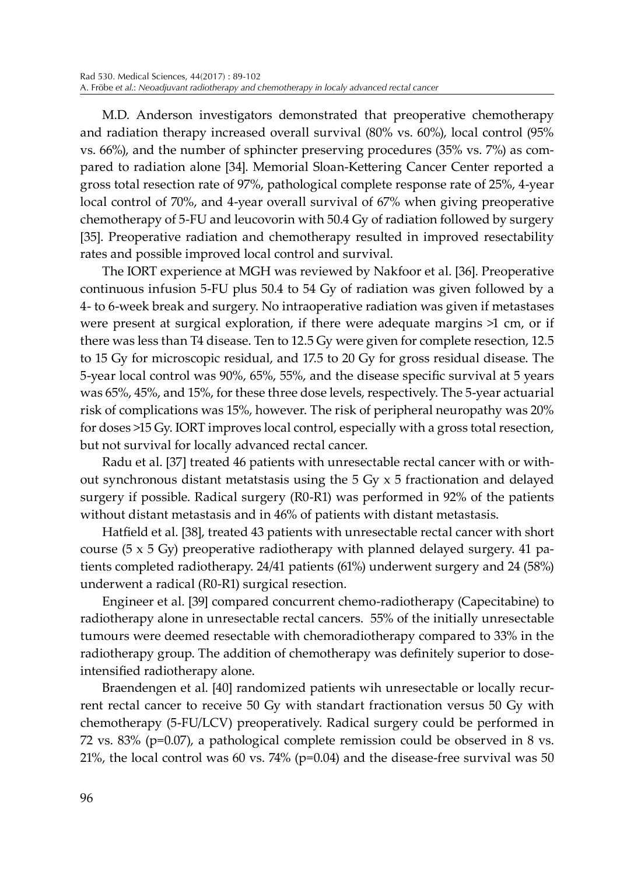M.D. Anderson investigators demonstrated that preoperative chemotherapy and radiation therapy increased overall survival (80% vs. 60%), local control (95% vs. 66%), and the number of sphincter preserving procedures (35% vs. 7%) as compared to radiation alone [34]. Memorial Sloan-Kettering Cancer Center reported a gross total resection rate of 97%, pathological complete response rate of 25%, 4-year local control of 70%, and 4-year overall survival of 67% when giving preoperative chemotherapy of 5-FU and leucovorin with 50.4 Gy of radiation followed by surgery [35]. Preoperative radiation and chemotherapy resulted in improved resectability rates and possible improved local control and survival.

The IORT experience at MGH was reviewed by Nakfoor et al. [36]. Preoperative continuous infusion 5-FU plus 50.4 to 54 Gy of radiation was given followed by a 4- to 6-week break and surgery. No intraoperative radiation was given if metastases were present at surgical exploration, if there were adequate margins >1 cm, or if there was less than T4 disease. Ten to 12.5 Gy were given for complete resection, 12.5 to 15 Gy for microscopic residual, and 17.5 to 20 Gy for gross residual disease. The 5-year local control was 90%, 65%, 55%, and the disease specific survival at 5 years was 65%, 45%, and 15%, for these three dose levels, respectively. The 5-year actuarial risk of complications was 15%, however. The risk of peripheral neuropathy was 20% for doses >15 Gy. IORT improves local control, especially with a gross total resection, but not survival for locally advanced rectal cancer.

Radu et al. [37] treated 46 patients with unresectable rectal cancer with or without synchronous distant metatstasis using the  $5 \text{ Gy} \times 5$  fractionation and delayed surgery if possible. Radical surgery (R0-R1) was performed in 92% of the patients without distant metastasis and in 46% of patients with distant metastasis.

Hatfield et al. [38], treated 43 patients with unresectable rectal cancer with short course ( $5 \times 5$  Gy) preoperative radiotherapy with planned delayed surgery. 41 patients completed radiotherapy. 24/41 patients (61%) underwent surgery and 24 (58%) underwent a radical (R0-R1) surgical resection.

Engineer et al. [39] compared concurrent chemo-radiotherapy (Capecitabine) to radiotherapy alone in unresectable rectal cancers. 55% of the initially unresectable tumours were deemed resectable with chemoradiotherapy compared to 33% in the radiotherapy group. The addition of chemotherapy was definitely superior to doseintensified radiotherapy alone.

Braendengen et al. [40] randomized patients wih unresectable or locally recurrent rectal cancer to receive 50 Gy with standart fractionation versus 50 Gy with chemotherapy (5-FU/LCV) preoperatively. Radical surgery could be performed in 72 vs. 83% (p=0.07), a pathological complete remission could be observed in 8 vs. 21%, the local control was 60 vs. 74% (p=0.04) and the disease-free survival was 50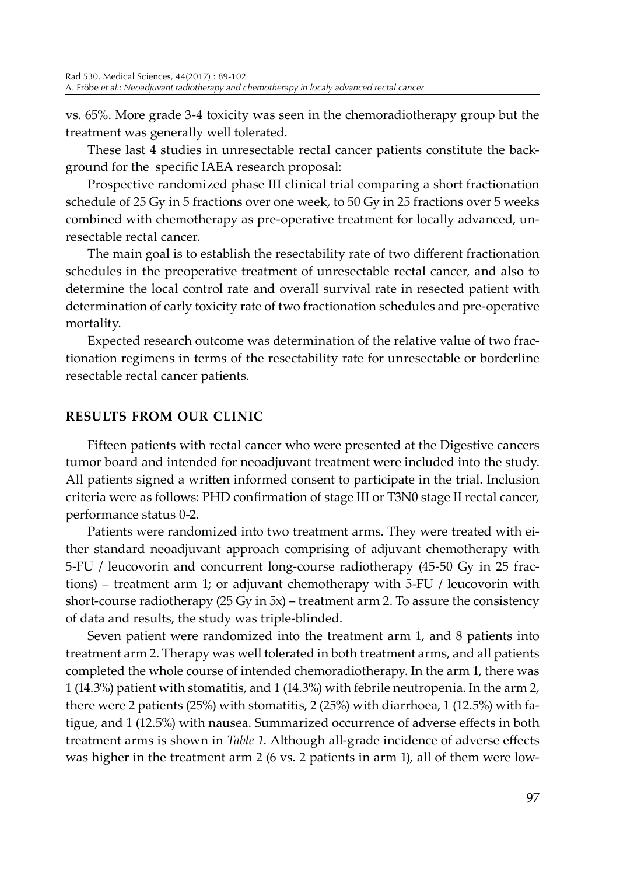vs. 65%. More grade 3-4 toxicity was seen in the chemoradiotherapy group but the treatment was generally well tolerated.

These last 4 studies in unresectable rectal cancer patients constitute the background for the specific IAEA research proposal:

Prospective randomized phase III clinical trial comparing a short fractionation schedule of 25 Gy in 5 fractions over one week, to 50 Gy in 25 fractions over 5 weeks combined with chemotherapy as pre-operative treatment for locally advanced, unresectable rectal cancer.

The main goal is to establish the resectability rate of two different fractionation schedules in the preoperative treatment of unresectable rectal cancer, and also to determine the local control rate and overall survival rate in resected patient with determination of early toxicity rate of two fractionation schedules and pre-operative mortality.

Expected research outcome was determination of the relative value of two fractionation regimens in terms of the resectability rate for unresectable or borderline resectable rectal cancer patients.

# **RESULTS FROM OUR CLINIC**

Fifteen patients with rectal cancer who were presented at the Digestive cancers tumor board and intended for neoadjuvant treatment were included into the study. All patients signed a written informed consent to participate in the trial. Inclusion criteria were as follows: PHD confirmation of stage III or T3N0 stage II rectal cancer, performance status 0-2.

Patients were randomized into two treatment arms. They were treated with either standard neoadjuvant approach comprising of adjuvant chemotherapy with 5-FU / leucovorin and concurrent long-course radiotherapy (45-50 Gy in 25 fractions) – treatment arm 1; or adjuvant chemotherapy with 5-FU / leucovorin with short-course radiotherapy (25 Gy in 5x) – treatment arm 2. To assure the consistency of data and results, the study was triple-blinded.

Seven patient were randomized into the treatment arm 1, and 8 patients into treatment arm 2. Therapy was well tolerated in both treatment arms, and all patients completed the whole course of intended chemoradiotherapy. In the arm 1, there was 1 (14.3%) patient with stomatitis, and 1 (14.3%) with febrile neutropenia. In the arm 2, there were 2 patients (25%) with stomatitis, 2 (25%) with diarrhoea, 1 (12.5%) with fatigue, and 1 (12.5%) with nausea. Summarized occurrence of adverse effects in both treatment arms is shown in *Table 1*. Although all-grade incidence of adverse effects was higher in the treatment arm 2 (6 vs. 2 patients in arm 1), all of them were low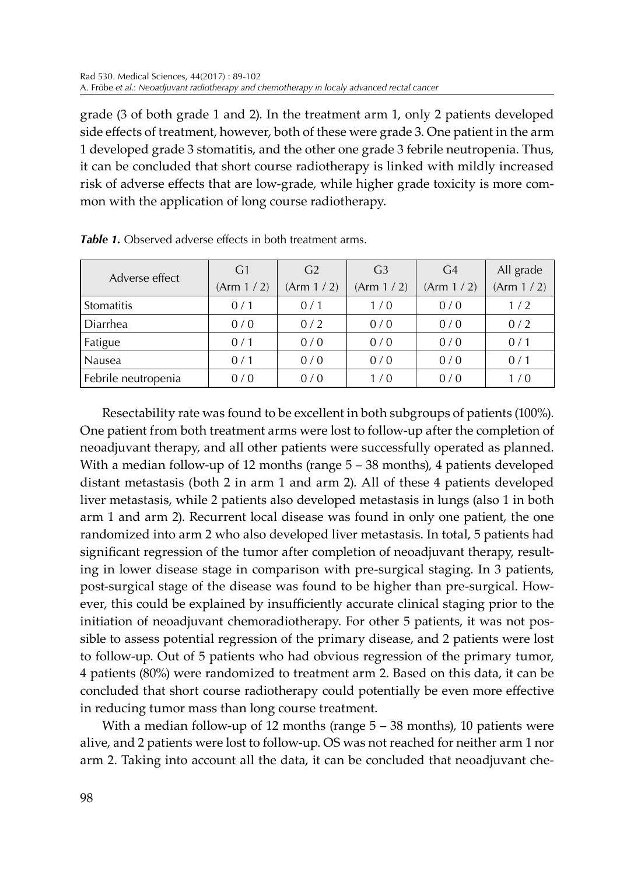grade (3 of both grade 1 and 2). In the treatment arm 1, only 2 patients developed side effects of treatment, however, both of these were grade 3. One patient in the arm 1 developed grade 3 stomatitis, and the other one grade 3 febrile neutropenia. Thus, it can be concluded that short course radiotherapy is linked with mildly increased risk of adverse effects that are low-grade, while higher grade toxicity is more common with the application of long course radiotherapy.

| Adverse effect      | G <sub>1</sub> | G <sub>2</sub> | G <sub>3</sub> | G <sub>4</sub> | All grade   |
|---------------------|----------------|----------------|----------------|----------------|-------------|
|                     | (Arm 1/2)      | (Arm 1/2)      | (Arm 1/2)      | (Arm 1/2)      | (Arm 1 / 2) |
| <b>Stomatitis</b>   | 0/1            | 0/1            | 1/0            | 0/0            | 1/2         |
| Diarrhea            | 0/0            | 0/2            | 0/0            | 0/0            | 0/2         |
| Fatigue             | 0/1            | 0/0            | 0/0            | 0/0            | 0/1         |
| <b>Nausea</b>       | 0/1            | 0/0            | 0/0            | 0/0            | 0/1         |
| Febrile neutropenia | 0/0            | 0/0            | 1/0            | 0/0            | 1/0         |

*Table 1.* Observed adverse effects in both treatment arms.

Resectability rate was found to be excellent in both subgroups of patients (100%). One patient from both treatment arms were lost to follow-up after the completion of neoadjuvant therapy, and all other patients were successfully operated as planned. With a median follow-up of 12 months (range  $5 - 38$  months), 4 patients developed distant metastasis (both 2 in arm 1 and arm 2). All of these 4 patients developed liver metastasis, while 2 patients also developed metastasis in lungs (also 1 in both arm 1 and arm 2). Recurrent local disease was found in only one patient, the one randomized into arm 2 who also developed liver metastasis. In total, 5 patients had significant regression of the tumor after completion of neoadjuvant therapy, resulting in lower disease stage in comparison with pre-surgical staging. In 3 patients, post-surgical stage of the disease was found to be higher than pre-surgical. However, this could be explained by insufficiently accurate clinical staging prior to the initiation of neoadjuvant chemoradiotherapy. For other 5 patients, it was not possible to assess potential regression of the primary disease, and 2 patients were lost to follow-up. Out of 5 patients who had obvious regression of the primary tumor, 4 patients (80%) were randomized to treatment arm 2. Based on this data, it can be concluded that short course radiotherapy could potentially be even more effective in reducing tumor mass than long course treatment.

With a median follow-up of 12 months (range  $5 - 38$  months), 10 patients were alive, and 2 patients were lost to follow-up. OS was not reached for neither arm 1 nor arm 2. Taking into account all the data, it can be concluded that neoadjuvant che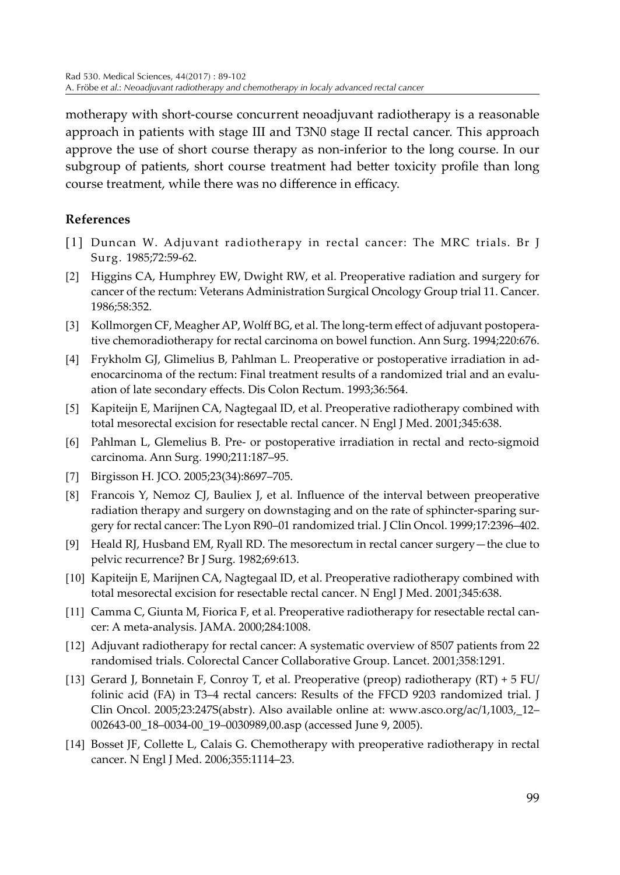motherapy with short-course concurrent neoadjuvant radiotherapy is a reasonable approach in patients with stage III and T3N0 stage II rectal cancer. This approach approve the use of short course therapy as non-inferior to the long course. In our subgroup of patients, short course treatment had better toxicity profile than long course treatment, while there was no difference in efficacy.

# **References**

- [1] Duncan W. Adjuvant radiotherapy in rectal cancer: The MRC trials. Br J Surg. 1985;72:59-62.
- [2] Higgins CA, Humphrey EW, Dwight RW, et al. Preoperative radiation and surgery for cancer of the rectum: Veterans Administration Surgical Oncology Group trial 11. Cancer. 1986;58:352.
- [3] Kollmorgen CF, Meagher AP, Wolff BG, et al. The long-term effect of adjuvant postoperative chemoradiotherapy for rectal carcinoma on bowel function. Ann Surg. 1994;220:676.
- [4] Frykholm GJ, Glimelius B, Pahlman L. Preoperative or postoperative irradiation in adenocarcinoma of the rectum: Final treatment results of a randomized trial and an evaluation of late secondary effects. Dis Colon Rectum. 1993;36:564.
- [5] Kapiteijn E, Marijnen CA, Nagtegaal ID, et al. Preoperative radiotherapy combined with total mesorectal excision for resectable rectal cancer. N Engl J Med. 2001;345:638.
- [6] Pahlman L, Glemelius B. Pre- or postoperative irradiation in rectal and recto-sigmoid carcinoma. Ann Surg. 1990;211:187–95.
- [7] Birgisson H. JCO. 2005;23(34):8697–705.
- [8] Francois Y, Nemoz CJ, Bauliex J, et al. Influence of the interval between preoperative radiation therapy and surgery on downstaging and on the rate of sphincter-sparing surgery for rectal cancer: The Lyon R90–01 randomized trial. J Clin Oncol. 1999;17:2396–402.
- [9] Heald RJ, Husband EM, Ryall RD. The mesorectum in rectal cancer surgery—the clue to pelvic recurrence? Br J Surg. 1982;69:613.
- [10] Kapiteijn E, Marijnen CA, Nagtegaal ID, et al. Preoperative radiotherapy combined with total mesorectal excision for resectable rectal cancer. N Engl J Med. 2001;345:638.
- [11] Camma C, Giunta M, Fiorica F, et al. Preoperative radiotherapy for resectable rectal cancer: A meta-analysis. JAMA. 2000;284:1008.
- [12] Adjuvant radiotherapy for rectal cancer: A systematic overview of 8507 patients from 22 randomised trials. Colorectal Cancer Collaborative Group. Lancet. 2001;358:1291.
- [13] Gerard J, Bonnetain F, Conroy T, et al. Preoperative (preop) radiotherapy (RT) + 5 FU/ folinic acid (FA) in T3–4 rectal cancers: Results of the FFCD 9203 randomized trial. J Clin Oncol. 2005;23:247S(abstr). Also available online at: www.asco.org/ac/1,1003,\_12– 002643-00\_18–0034-00\_19–0030989,00.asp (accessed June 9, 2005).
- [14] Bosset JF, Collette L, Calais G. Chemotherapy with preoperative radiotherapy in rectal cancer. N Engl J Med. 2006;355:1114–23.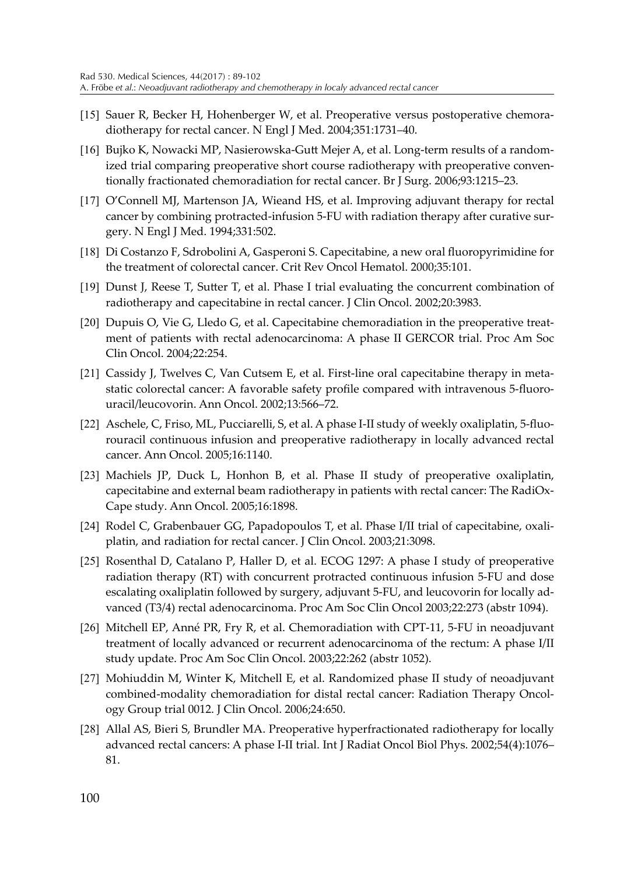- [15] Sauer R, Becker H, Hohenberger W, et al. Preoperative versus postoperative chemoradiotherapy for rectal cancer. N Engl J Med. 2004;351:1731–40.
- [16] Bujko K, Nowacki MP, Nasierowska-Gutt Mejer A, et al. Long-term results of a randomized trial comparing preoperative short course radiotherapy with preoperative conventionally fractionated chemoradiation for rectal cancer. Br J Surg. 2006;93:1215–23.
- [17] O'Connell MJ, Martenson JA, Wieand HS, et al. Improving adjuvant therapy for rectal cancer by combining protracted-infusion 5-FU with radiation therapy after curative surgery. N Engl J Med. 1994;331:502.
- [18] Di Costanzo F, Sdrobolini A, Gasperoni S. Capecitabine, a new oral fluoropyrimidine for the treatment of colorectal cancer. Crit Rev Oncol Hematol. 2000;35:101.
- [19] Dunst J, Reese T, Sutter T, et al. Phase I trial evaluating the concurrent combination of radiotherapy and capecitabine in rectal cancer. J Clin Oncol. 2002;20:3983.
- [20] Dupuis O, Vie G, Lledo G, et al. Capecitabine chemoradiation in the preoperative treatment of patients with rectal adenocarcinoma: A phase II GERCOR trial. Proc Am Soc Clin Oncol. 2004;22:254.
- [21] Cassidy J, Twelves C, Van Cutsem E, et al. First-line oral capecitabine therapy in metastatic colorectal cancer: A favorable safety profile compared with intravenous 5-fluorouracil/leucovorin. Ann Oncol. 2002;13:566–72.
- [22] Aschele, C, Friso, ML, Pucciarelli, S, et al. A phase I-II study of weekly oxaliplatin, 5-fluorouracil continuous infusion and preoperative radiotherapy in locally advanced rectal cancer. Ann Oncol. 2005;16:1140.
- [23] Machiels JP, Duck L, Honhon B, et al. Phase II study of preoperative oxaliplatin, capecitabine and external beam radiotherapy in patients with rectal cancer: The RadiOx-Cape study. Ann Oncol. 2005;16:1898.
- [24] Rodel C, Grabenbauer GG, Papadopoulos T, et al. Phase I/II trial of capecitabine, oxaliplatin, and radiation for rectal cancer. J Clin Oncol. 2003;21:3098.
- [25] Rosenthal D, Catalano P, Haller D, et al. ECOG 1297: A phase I study of preoperative radiation therapy (RT) with concurrent protracted continuous infusion 5-FU and dose escalating oxaliplatin followed by surgery, adjuvant 5-FU, and leucovorin for locally advanced (T3/4) rectal adenocarcinoma. Proc Am Soc Clin Oncol 2003;22:273 (abstr 1094).
- [26] Mitchell EP, Anné PR, Fry R, et al. Chemoradiation with CPT-11, 5-FU in neoadjuvant treatment of locally advanced or recurrent adenocarcinoma of the rectum: A phase I/II study update. Proc Am Soc Clin Oncol. 2003;22:262 (abstr 1052).
- [27] Mohiuddin M, Winter K, Mitchell E, et al. Randomized phase II study of neoadjuvant combined-modality chemoradiation for distal rectal cancer: Radiation Therapy Oncology Group trial 0012. J Clin Oncol. 2006;24:650.
- [28] Allal AS, Bieri S, Brundler MA. Preoperative hyperfractionated radiotherapy for locally advanced rectal cancers: A phase I-II trial. Int J Radiat Oncol Biol Phys. 2002;54(4):1076– 81.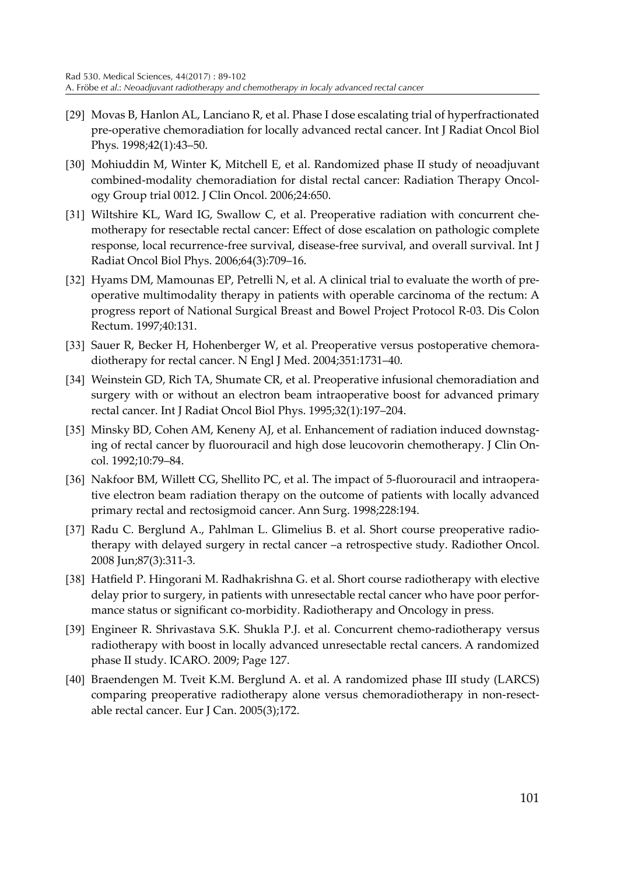- [29] Movas B, Hanlon AL, Lanciano R, et al. Phase I dose escalating trial of hyperfractionated pre-operative chemoradiation for locally advanced rectal cancer. Int J Radiat Oncol Biol Phys. 1998;42(1):43–50.
- [30] Mohiuddin M, Winter K, Mitchell E, et al. Randomized phase II study of neoadjuvant combined-modality chemoradiation for distal rectal cancer: Radiation Therapy Oncology Group trial 0012. J Clin Oncol. 2006;24:650.
- [31] Wiltshire KL, Ward IG, Swallow C, et al. Preoperative radiation with concurrent chemotherapy for resectable rectal cancer: Effect of dose escalation on pathologic complete response, local recurrence-free survival, disease-free survival, and overall survival. Int J Radiat Oncol Biol Phys. 2006;64(3):709–16.
- [32] Hyams DM, Mamounas EP, Petrelli N, et al. A clinical trial to evaluate the worth of preoperative multimodality therapy in patients with operable carcinoma of the rectum: A progress report of National Surgical Breast and Bowel Project Protocol R-03. Dis Colon Rectum. 1997;40:131.
- [33] Sauer R, Becker H, Hohenberger W, et al. Preoperative versus postoperative chemoradiotherapy for rectal cancer. N Engl J Med. 2004;351:1731–40.
- [34] Weinstein GD, Rich TA, Shumate CR, et al. Preoperative infusional chemoradiation and surgery with or without an electron beam intraoperative boost for advanced primary rectal cancer. Int J Radiat Oncol Biol Phys. 1995;32(1):197–204.
- [35] Minsky BD, Cohen AM, Keneny AJ, et al. Enhancement of radiation induced downstaging of rectal cancer by fluorouracil and high dose leucovorin chemotherapy. J Clin Oncol. 1992;10:79–84.
- [36] Nakfoor BM, Willett CG, Shellito PC, et al. The impact of 5-fluorouracil and intraoperative electron beam radiation therapy on the outcome of patients with locally advanced primary rectal and rectosigmoid cancer. Ann Surg. 1998;228:194.
- [37] Radu C. Berglund A., Pahlman L. Glimelius B. et al. Short course preoperative radiotherapy with delayed surgery in rectal cancer –a retrospective study. Radiother Oncol. 2008 Jun;87(3):311-3.
- [38] Hatfield P. Hingorani M. Radhakrishna G. et al. Short course radiotherapy with elective delay prior to surgery, in patients with unresectable rectal cancer who have poor performance status or significant co-morbidity. Radiotherapy and Oncology in press.
- [39] Engineer R. Shrivastava S.K. Shukla P.J. et al. Concurrent chemo-radiotherapy versus radiotherapy with boost in locally advanced unresectable rectal cancers. A randomized phase II study. ICARO. 2009; Page 127.
- [40] Braendengen M. Tveit K.M. Berglund A. et al. A randomized phase III study (LARCS) comparing preoperative radiotherapy alone versus chemoradiotherapy in non-resectable rectal cancer. Eur J Can. 2005(3);172.